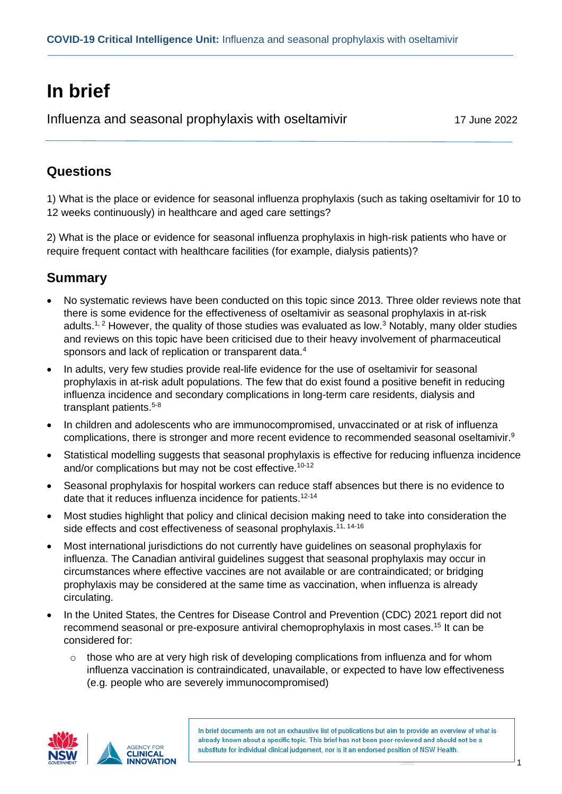# **In brief**

Influenza and seasonal prophylaxis with oseltamivir 17 June 2022

## **Questions**

1) What is the place or evidence for seasonal influenza prophylaxis (such as taking oseltamivir for 10 to 12 weeks continuously) in healthcare and aged care settings?

2) What is the place or evidence for seasonal influenza prophylaxis in high-risk patients who have or require frequent contact with healthcare facilities (for example, dialysis patients)?

## **Summary**

- No systematic reviews have been conducted on this topic since 2013. Three older reviews note that there is some evidence for the effectiveness of oseltamivir as seasonal prophylaxis in at-risk adults.<sup>1, 2</sup> However, the quality of those studies was evaluated as low.<sup>3</sup> Notably, many older studies and reviews on this topic have been criticised due to their heavy involvement of pharmaceutical sponsors and lack of replication or transparent data.<sup>4</sup>
- In adults, very few studies provide real-life evidence for the use of oseltamivir for seasonal prophylaxis in at-risk adult populations. The few that do exist found a positive benefit in reducing influenza incidence and secondary complications in long-term care residents, dialysis and transplant patients.<sup>5-8</sup>
- In children and adolescents who are immunocompromised, unvaccinated or at risk of influenza complications, there is stronger and more recent evidence to recommended seasonal oseltamivir.<sup>9</sup>
- Statistical modelling suggests that seasonal prophylaxis is effective for reducing influenza incidence and/or complications but may not be cost effective.<sup>10-12</sup>
- Seasonal prophylaxis for hospital workers can reduce staff absences but there is no evidence to date that it reduces influenza incidence for patients.<sup>12-14</sup>
- Most studies highlight that policy and clinical decision making need to take into consideration the side effects and cost effectiveness of seasonal prophylaxis.<sup>11, 14-16</sup>
- Most international jurisdictions do not currently have guidelines on seasonal prophylaxis for influenza. The Canadian antiviral guidelines suggest that seasonal prophylaxis may occur in circumstances where effective vaccines are not available or are contraindicated; or bridging prophylaxis may be considered at the same time as vaccination, when influenza is already circulating.
- In the United States, the Centres for Disease Control and Prevention (CDC) 2021 report did not recommend seasonal or pre-exposure antiviral chemoprophylaxis in most cases.<sup>15</sup> It can be considered for:
	- $\circ$  those who are at very high risk of developing complications from influenza and for whom influenza vaccination is contraindicated, unavailable, or expected to have low effectiveness (e.g. people who are severely immunocompromised)

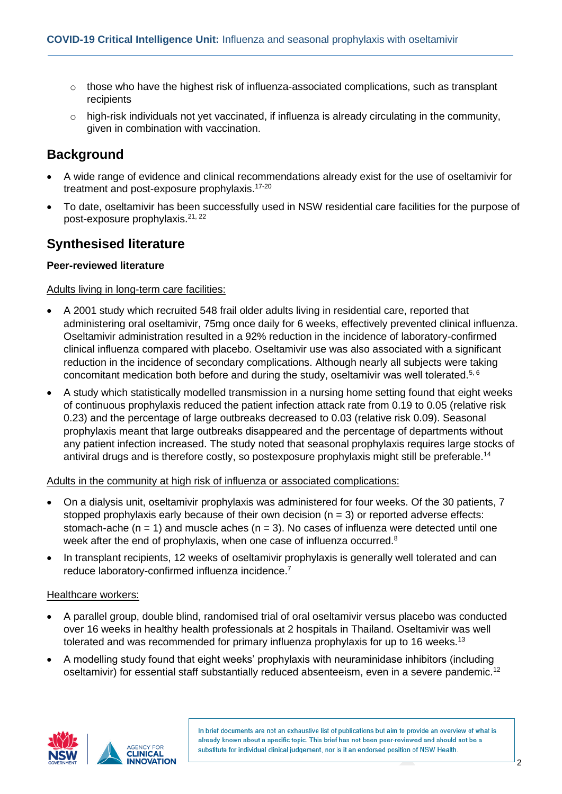- $\circ$  those who have the highest risk of influenza-associated complications, such as transplant recipients
- $\circ$  high-risk individuals not yet vaccinated, if influenza is already circulating in the community, given in combination with vaccination.

### **Background**

- A wide range of evidence and clinical recommendations already exist for the use of oseltamivir for treatment and post-exposure prophylaxis.<sup>17-20</sup>
- To date, oseltamivir has been successfully used in NSW residential care facilities for the purpose of post-exposure prophylaxis.21, 22

### **Synthesised literature**

#### **Peer-reviewed literature**

#### Adults living in long-term care facilities:

- A 2001 study which recruited 548 frail older adults living in residential care, reported that administering oral oseltamivir, 75mg once daily for 6 weeks, effectively prevented clinical influenza. Oseltamivir administration resulted in a 92% reduction in the incidence of laboratory-confirmed clinical influenza compared with placebo. Oseltamivir use was also associated with a significant reduction in the incidence of secondary complications. Although nearly all subjects were taking concomitant medication both before and during the study, oseltamivir was well tolerated.<sup>5, 6</sup>
- A study which statistically modelled transmission in a nursing home setting found that eight weeks of continuous prophylaxis reduced the patient infection attack rate from 0.19 to 0.05 (relative risk 0.23) and the percentage of large outbreaks decreased to 0.03 (relative risk 0.09). Seasonal prophylaxis meant that large outbreaks disappeared and the percentage of departments without any patient infection increased. The study noted that seasonal prophylaxis requires large stocks of antiviral drugs and is therefore costly, so postexposure prophylaxis might still be preferable.<sup>14</sup>

Adults in the community at high risk of influenza or associated complications:

- On a dialysis unit, oseltamivir prophylaxis was administered for four weeks. Of the 30 patients, 7 stopped prophylaxis early because of their own decision ( $n = 3$ ) or reported adverse effects: stomach-ache ( $n = 1$ ) and muscle aches ( $n = 3$ ). No cases of influenza were detected until one week after the end of prophylaxis, when one case of influenza occurred.<sup>8</sup>
- In transplant recipients, 12 weeks of oseltamivir prophylaxis is generally well tolerated and can reduce laboratory-confirmed influenza incidence.<sup>7</sup>

#### Healthcare workers:

- A parallel group, double blind, randomised trial of oral oseltamivir versus placebo was conducted over 16 weeks in healthy health professionals at 2 hospitals in Thailand. Oseltamivir was well tolerated and was recommended for primary influenza prophylaxis for up to 16 weeks.<sup>13</sup>
- A modelling study found that eight weeks' prophylaxis with neuraminidase inhibitors (including oseltamivir) for essential staff substantially reduced absenteeism, even in a severe pandemic.<sup>12</sup>

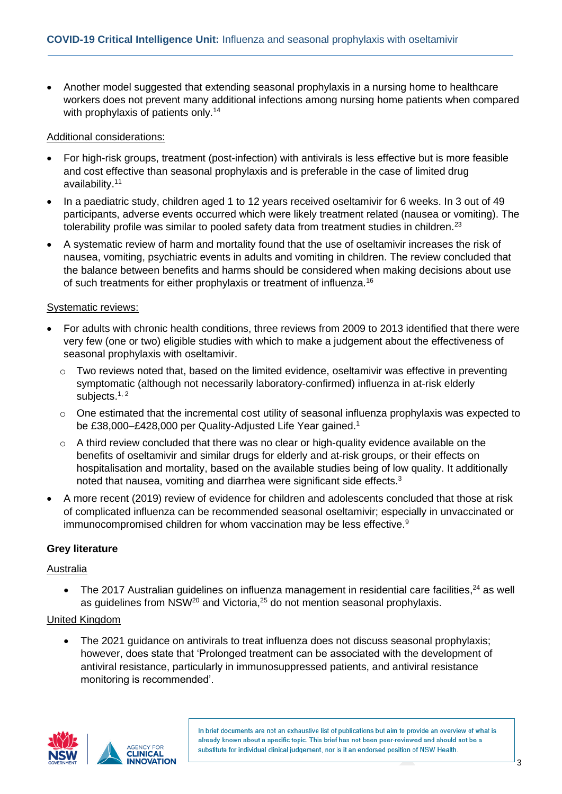• Another model suggested that extending seasonal prophylaxis in a nursing home to healthcare workers does not prevent many additional infections among nursing home patients when compared with prophylaxis of patients only.<sup>14</sup>

#### Additional considerations:

- For high-risk groups, treatment (post-infection) with antivirals is less effective but is more feasible and cost effective than seasonal prophylaxis and is preferable in the case of limited drug availability.<sup>11</sup>
- In a paediatric study, children aged 1 to 12 years received oseltamivir for 6 weeks. In 3 out of 49 participants, adverse events occurred which were likely treatment related (nausea or vomiting). The tolerability profile was similar to pooled safety data from treatment studies in children.<sup>23</sup>
- A systematic review of harm and mortality found that the use of oseltamivir increases the risk of nausea, vomiting, psychiatric events in adults and vomiting in children. The review concluded that the balance between benefits and harms should be considered when making decisions about use of such treatments for either prophylaxis or treatment of influenza.<sup>16</sup>

#### Systematic reviews:

- For adults with chronic health conditions, three reviews from 2009 to 2013 identified that there were very few (one or two) eligible studies with which to make a judgement about the effectiveness of seasonal prophylaxis with oseltamivir.
	- $\circ$  Two reviews noted that, based on the limited evidence, oseltamivir was effective in preventing symptomatic (although not necessarily laboratory-confirmed) influenza in at-risk elderly subjects.<sup>1, 2</sup>
	- $\circ$  One estimated that the incremental cost utility of seasonal influenza prophylaxis was expected to be £38,000-£428,000 per Quality-Adjusted Life Year gained.<sup>1</sup>
	- o A third review concluded that there was no clear or high-quality evidence available on the benefits of oseltamivir and similar drugs for elderly and at-risk groups, or their effects on hospitalisation and mortality, based on the available studies being of low quality. It additionally noted that nausea, vomiting and diarrhea were significant side effects.<sup>3</sup>
- A more recent (2019) review of evidence for children and adolescents concluded that those at risk of complicated influenza can be recommended seasonal oseltamivir; especially in unvaccinated or immunocompromised children for whom vaccination may be less effective.<sup>9</sup>

#### **Grey literature**

#### **Australia**

• The 2017 Australian guidelines on influenza management in residential care facilities,  $24$  as well as guidelines from NSW<sup>20</sup> and Victoria,<sup>25</sup> do not mention seasonal prophylaxis.

#### United Kingdom

• The 2021 guidance on antivirals to treat influenza does not discuss seasonal prophylaxis; however, does state that 'Prolonged treatment can be associated with the development of antiviral resistance, particularly in immunosuppressed patients, and antiviral resistance monitoring is recommended'.

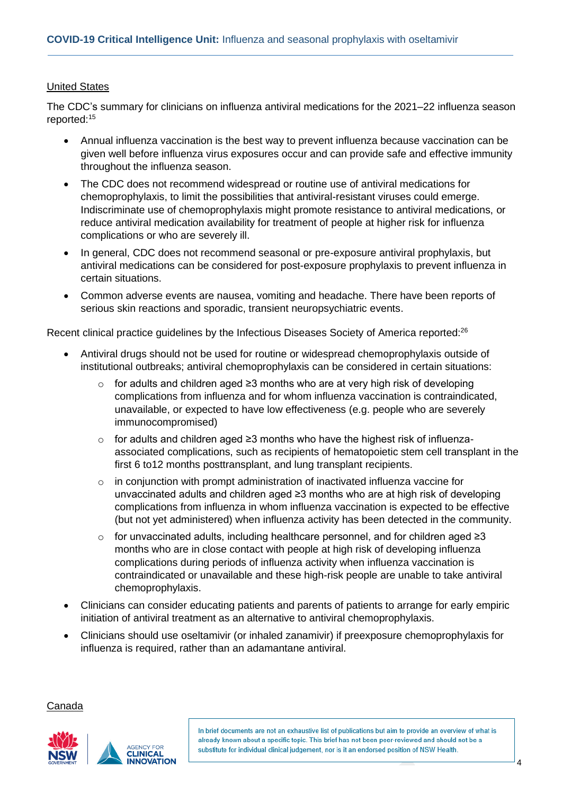#### United States

The CDC's summary for clinicians on influenza antiviral medications for the 2021–22 influenza season reported:<sup>15</sup>

- Annual influenza vaccination is the best way to prevent influenza because vaccination can be given well before influenza virus exposures occur and can provide safe and effective immunity throughout the influenza season.
- The CDC does not recommend widespread or routine use of antiviral medications for chemoprophylaxis, to limit the possibilities that antiviral-resistant viruses could emerge. Indiscriminate use of chemoprophylaxis might promote resistance to antiviral medications, or reduce antiviral medication availability for treatment of people at higher risk for influenza complications or who are severely ill.
- In general, CDC does not recommend seasonal or pre-exposure antiviral prophylaxis, but antiviral medications can be considered for post-exposure prophylaxis to prevent influenza in certain situations.
- Common adverse events are nausea, vomiting and headache. There have been reports of serious skin reactions and sporadic, transient neuropsychiatric events.

Recent clinical practice guidelines by the Infectious Diseases Society of America reported:<sup>26</sup>

- Antiviral drugs should not be used for routine or widespread chemoprophylaxis outside of institutional outbreaks; antiviral chemoprophylaxis can be considered in certain situations:
	- o for adults and children aged ≥3 months who are at very high risk of developing complications from influenza and for whom influenza vaccination is contraindicated, unavailable, or expected to have low effectiveness (e.g. people who are severely immunocompromised)
	- o for adults and children aged ≥3 months who have the highest risk of influenzaassociated complications, such as recipients of hematopoietic stem cell transplant in the first 6 to12 months posttransplant, and lung transplant recipients.
	- $\circ$  in conjunction with prompt administration of inactivated influenza vaccine for unvaccinated adults and children aged ≥3 months who are at high risk of developing complications from influenza in whom influenza vaccination is expected to be effective (but not yet administered) when influenza activity has been detected in the community.
	- o for unvaccinated adults, including healthcare personnel, and for children aged ≥3 months who are in close contact with people at high risk of developing influenza complications during periods of influenza activity when influenza vaccination is contraindicated or unavailable and these high-risk people are unable to take antiviral chemoprophylaxis.
- Clinicians can consider educating patients and parents of patients to arrange for early empiric initiation of antiviral treatment as an alternative to antiviral chemoprophylaxis.
- Clinicians should use oseltamivir (or inhaled zanamivir) if preexposure chemoprophylaxis for influenza is required, rather than an adamantane antiviral.

#### Canada



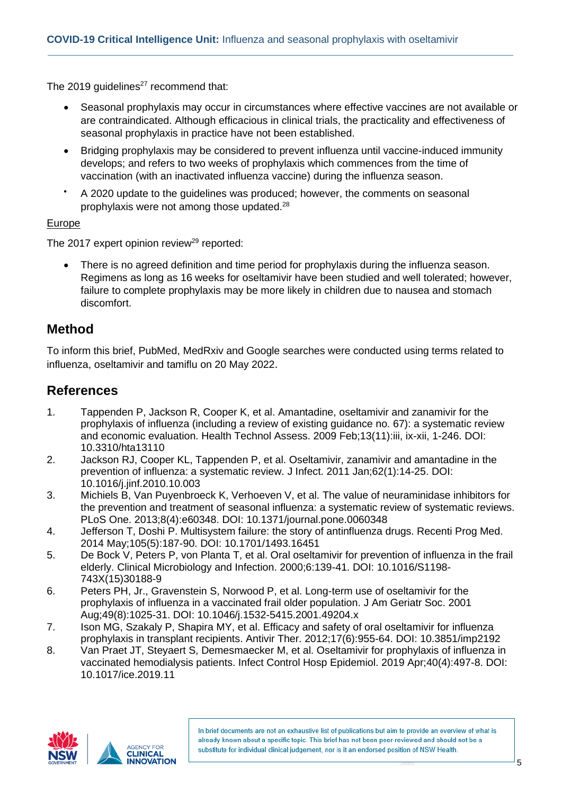The 2019 quidelines $^{27}$  recommend that:

- Seasonal prophylaxis may occur in circumstances where effective vaccines are not available or are contraindicated. Although efficacious in clinical trials, the practicality and effectiveness of seasonal prophylaxis in practice have not been established.
- Bridging prophylaxis may be considered to prevent influenza until vaccine-induced immunity develops; and refers to two weeks of prophylaxis which commences from the time of vaccination (with an inactivated influenza vaccine) during the influenza season.
- A 2020 update to the guidelines was produced; however, the comments on seasonal prophylaxis were not among those updated.<sup>28</sup>

#### Europe

The 2017 expert opinion review<sup>29</sup> reported:

• There is no agreed definition and time period for prophylaxis during the influenza season. Regimens as long as 16 weeks for oseltamivir have been studied and well tolerated; however, failure to complete prophylaxis may be more likely in children due to nausea and stomach discomfort.

### **Method**

To inform this brief, PubMed, MedRxiv and Google searches were conducted using terms related to influenza, oseltamivir and tamiflu on 20 May 2022.

### **References**

- 1. Tappenden P, Jackson R, Cooper K, et al. Amantadine, oseltamivir and zanamivir for the prophylaxis of influenza (including a review of existing guidance no. 67): a systematic review and economic evaluation. Health Technol Assess. 2009 Feb;13(11):iii, ix-xii, 1-246. DOI: 10.3310/hta13110
- 2. Jackson RJ, Cooper KL, Tappenden P, et al. Oseltamivir, zanamivir and amantadine in the prevention of influenza: a systematic review. J Infect. 2011 Jan;62(1):14-25. DOI: 10.1016/j.jinf.2010.10.003
- 3. Michiels B, Van Puyenbroeck K, Verhoeven V, et al. The value of neuraminidase inhibitors for the prevention and treatment of seasonal influenza: a systematic review of systematic reviews. PLoS One. 2013;8(4):e60348. DOI: 10.1371/journal.pone.0060348
- 4. Jefferson T, Doshi P. Multisystem failure: the story of antinfluenza drugs. Recenti Prog Med. 2014 May;105(5):187-90. DOI: 10.1701/1493.16451
- 5. De Bock V, Peters P, von Planta T, et al. Oral oseltamivir for prevention of influenza in the frail elderly. Clinical Microbiology and Infection. 2000;6:139-41. DOI: 10.1016/S1198- 743X(15)30188-9
- 6. Peters PH, Jr., Gravenstein S, Norwood P, et al. Long-term use of oseltamivir for the prophylaxis of influenza in a vaccinated frail older population. J Am Geriatr Soc. 2001 Aug;49(8):1025-31. DOI: 10.1046/j.1532-5415.2001.49204.x
- 7. Ison MG, Szakaly P, Shapira MY, et al. Efficacy and safety of oral oseltamivir for influenza prophylaxis in transplant recipients. Antivir Ther. 2012;17(6):955-64. DOI: 10.3851/imp2192
- 8. Van Praet JT, Steyaert S, Demesmaecker M, et al. Oseltamivir for prophylaxis of influenza in vaccinated hemodialysis patients. Infect Control Hosp Epidemiol. 2019 Apr;40(4):497-8. DOI: 10.1017/ice.2019.11

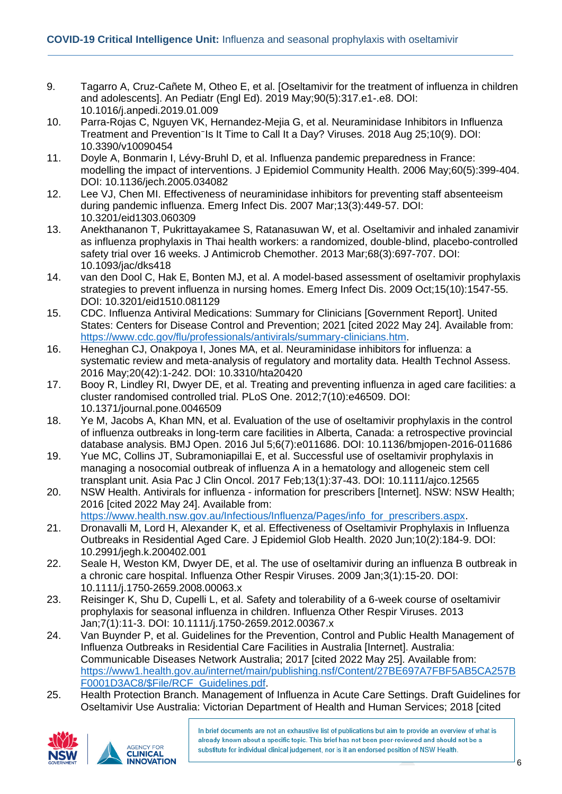- 9. Tagarro A, Cruz-Cañete M, Otheo E, et al. [Oseltamivir for the treatment of influenza in children and adolescents]. An Pediatr (Engl Ed). 2019 May;90(5):317.e1-.e8. DOI: 10.1016/j.anpedi.2019.01.009
- 10. Parra-Rojas C, Nguyen VK, Hernandez-Mejia G, et al. Neuraminidase Inhibitors in Influenza Treatment and Prevention Is It Time to Call It a Day? Viruses. 2018 Aug 25;10(9). DOI: 10.3390/v10090454
- 11. Doyle A, Bonmarin I, Lévy-Bruhl D, et al. Influenza pandemic preparedness in France: modelling the impact of interventions. J Epidemiol Community Health. 2006 May;60(5):399-404. DOI: 10.1136/jech.2005.034082
- 12. Lee VJ, Chen MI. Effectiveness of neuraminidase inhibitors for preventing staff absenteeism during pandemic influenza. Emerg Infect Dis. 2007 Mar;13(3):449-57. DOI: 10.3201/eid1303.060309
- 13. Anekthananon T, Pukrittayakamee S, Ratanasuwan W, et al. Oseltamivir and inhaled zanamivir as influenza prophylaxis in Thai health workers: a randomized, double-blind, placebo-controlled safety trial over 16 weeks. J Antimicrob Chemother. 2013 Mar;68(3):697-707. DOI: 10.1093/jac/dks418
- 14. van den Dool C, Hak E, Bonten MJ, et al. A model-based assessment of oseltamivir prophylaxis strategies to prevent influenza in nursing homes. Emerg Infect Dis. 2009 Oct;15(10):1547-55. DOI: 10.3201/eid1510.081129
- 15. CDC. Influenza Antiviral Medications: Summary for Clinicians [Government Report]. United States: Centers for Disease Control and Prevention; 2021 [cited 2022 May 24]. Available from: [https://www.cdc.gov/flu/professionals/antivirals/summary-clinicians.htm.](https://www.cdc.gov/flu/professionals/antivirals/summary-clinicians.htm)
- 16. Heneghan CJ, Onakpoya I, Jones MA, et al. Neuraminidase inhibitors for influenza: a systematic review and meta-analysis of regulatory and mortality data. Health Technol Assess. 2016 May;20(42):1-242. DOI: 10.3310/hta20420
- 17. Booy R, Lindley RI, Dwyer DE, et al. Treating and preventing influenza in aged care facilities: a cluster randomised controlled trial. PLoS One. 2012;7(10):e46509. DOI: 10.1371/journal.pone.0046509
- 18. Ye M, Jacobs A, Khan MN, et al. Evaluation of the use of oseltamivir prophylaxis in the control of influenza outbreaks in long-term care facilities in Alberta, Canada: a retrospective provincial database analysis. BMJ Open. 2016 Jul 5;6(7):e011686. DOI: 10.1136/bmjopen-2016-011686
- 19. Yue MC, Collins JT, Subramoniapillai E, et al. Successful use of oseltamivir prophylaxis in managing a nosocomial outbreak of influenza A in a hematology and allogeneic stem cell transplant unit. Asia Pac J Clin Oncol. 2017 Feb;13(1):37-43. DOI: 10.1111/ajco.12565
- 20. NSW Health. Antivirals for influenza information for prescribers [Internet]. NSW: NSW Health; 2016 [cited 2022 May 24]. Available from: [https://www.health.nsw.gov.au/Infectious/Influenza/Pages/info\\_for\\_prescribers.aspx.](https://www.health.nsw.gov.au/Infectious/Influenza/Pages/info_for_prescribers.aspx)
- 21. Dronavalli M, Lord H, Alexander K, et al. Effectiveness of Oseltamivir Prophylaxis in Influenza Outbreaks in Residential Aged Care. J Epidemiol Glob Health. 2020 Jun;10(2):184-9. DOI: 10.2991/jegh.k.200402.001
- 22. Seale H, Weston KM, Dwyer DE, et al. The use of oseltamivir during an influenza B outbreak in a chronic care hospital. Influenza Other Respir Viruses. 2009 Jan;3(1):15-20. DOI: 10.1111/j.1750-2659.2008.00063.x
- 23. Reisinger K, Shu D, Cupelli L, et al. Safety and tolerability of a 6-week course of oseltamivir prophylaxis for seasonal influenza in children. Influenza Other Respir Viruses. 2013 Jan;7(1):11-3. DOI: 10.1111/j.1750-2659.2012.00367.x
- 24. Van Buynder P, et al. Guidelines for the Prevention, Control and Public Health Management of Influenza Outbreaks in Residential Care Facilities in Australia [Internet]. Australia: Communicable Diseases Network Australia; 2017 [cited 2022 May 25]. Available from: [https://www1.health.gov.au/internet/main/publishing.nsf/Content/27BE697A7FBF5AB5CA257B](https://www1.health.gov.au/internet/main/publishing.nsf/Content/27BE697A7FBF5AB5CA257BF0001D3AC8/$File/RCF_Guidelines.pdf) [F0001D3AC8/\\$File/RCF\\_Guidelines.pdf.](https://www1.health.gov.au/internet/main/publishing.nsf/Content/27BE697A7FBF5AB5CA257BF0001D3AC8/$File/RCF_Guidelines.pdf)
- 25. Health Protection Branch. Management of Influenza in Acute Care Settings. Draft Guidelines for Oseltamivir Use Australia: Victorian Department of Health and Human Services; 2018 [cited